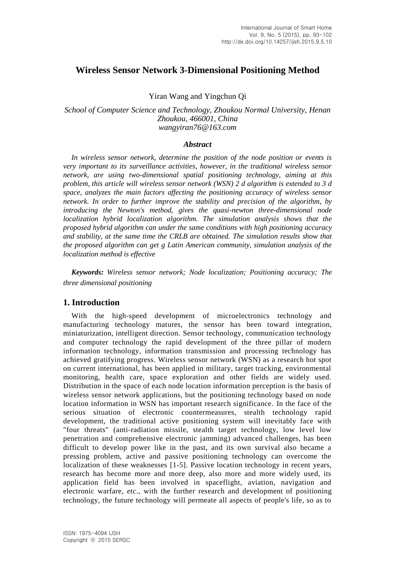# **Wireless Sensor Network 3-Dimensional Positioning Method**

Yiran Wang and Yingchun Qi

*School of Computer Science and Technology, Zhoukou Normal University, Henan Zhoukou, 466001, China wangyiran76@163.com*

### *Abstract*

*In wireless sensor network, determine the position of the node position or events is very important to its surveillance activities, however, in the traditional wireless sensor network, are using two-dimensional spatial positioning technology, aiming at this problem, this article will wireless sensor network (WSN) 2 d algorithm is extended to 3 d space, analyzes the main factors affecting the positioning accuracy of wireless sensor network. In order to further improve the stability and precision of the algorithm, by introducing the Newton's method, gives the quasi-newton three-dimensional node localization hybrid localization algorithm. The simulation analysis shows that the proposed hybrid algorithm can under the same conditions with high positioning accuracy and stability, at the same time the CRLB are obtained. The simulation results show that the proposed algorithm can get g Latin American community, simulation analysis of the localization method is effective*

*Keywords: Wireless sensor network; Node localization; Positioning accuracy; The three dimensional positioning*

## **1. Introduction**

With the high-speed development of microelectronics technology and manufacturing technology matures, the sensor has been toward integration, miniaturization, intelligent direction. Sensor technology, communication technology and computer technology the rapid development of the three pillar of modern information technology, information transmission and processing technology has achieved gratifying progress. Wireless sensor network (WSN) as a research hot spot on current international, has been applied in military, target tracking, environmental monitoring, health care, space exploration and other fields are widely used. Distribution in the space of each node location information perception is the basis of wireless sensor network applications, but the positioning technology based on node location information in WSN has important research significance. In the face of the serious situation of electronic countermeasures, stealth technology rapid development, the traditional active positioning system will inevitably face with "four threats" (anti-radiation missile, stealth target technology, low level low penetration and comprehensive electronic jamming) advanced challenges, has been difficult to develop power like in the past, and its own survival also became a pressing problem, active and passive positioning technology can overcome the localization of these weaknesses [1-5]. Passive location technology in recent years, research has become more and more deep, also more and more widely used, its application field has been involved in spaceflight, aviation, navigation and electronic warfare, *etc*., with the further research and development of positioning technology, the future technology will permeate all aspects of people's life, so as to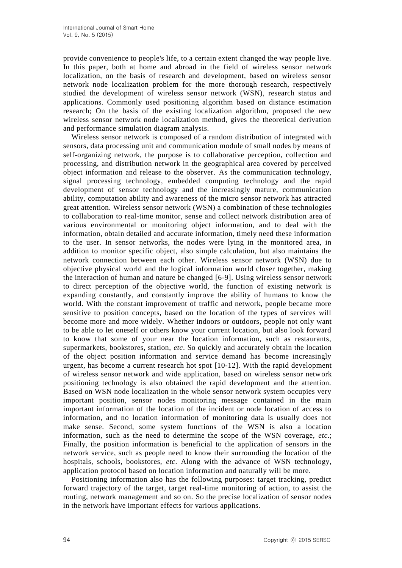provide convenience to people's life, to a certain extent changed the way people live. In this paper, both at home and abroad in the field of wireless sensor network localization, on the basis of research and development, based on wireless sensor network node localization problem for the more thorough research, respectively studied the development of wireless sensor network (WSN), research status and applications. Commonly used positioning algorithm based on distance estimation research; On the basis of the existing localization algorithm, proposed the new wireless sensor network node localization method, gives the theoretical derivation and performance simulation diagram analysis.

Wireless sensor network is composed of a random distribution of integrated with sensors, data processing unit and communication module of small nodes by means of self-organizing network, the purpose is to collaborative perception, collection and processing, and distribution network in the geographical area covered by perceived object information and release to the observer. As the communication technology, signal processing technology, embedded computing technology and the rapid development of sensor technology and the increasingly mature, communication ability, computation ability and awareness of the micro sensor network has attracted great attention. Wireless sensor network (WSN) a combination of these technologies to collaboration to real-time monitor, sense and collect network distribution area of various environmental or monitoring object information, and to deal with the information, obtain detailed and accurate information, timely need these information to the user. In sensor networks, the nodes were lying in the monitored area, in addition to monitor specific object, also simple calculation, but also maintains the network connection between each other. Wireless sensor network (WSN) due to objective physical world and the logical information world closer together, making the interaction of human and nature be changed [6-9]. Using wireless sensor network to direct perception of the objective world, the function of existing network is expanding constantly, and constantly improve the ability of humans to know the world. With the constant improvement of traffic and network, people became more sensitive to position concepts, based on the location of the types of services will become more and more widely. Whether indoors or outdoors, people not only want to be able to let oneself or others know your current location, but also look forward to know that some of your near the location information, such as restaurants, supermarkets, bookstores, station, *etc*. So quickly and accurately obtain the location of the object position information and service demand has become increasingly urgent, has become a current research hot spot [10-12]. With the rapid development of wireless sensor network and wide application, based on wireless sensor network positioning technology is also obtained the rapid development and the attention. Based on WSN node localization in the whole sensor network system occupies very important position, sensor nodes monitoring message contained in the main important information of the location of the incident or node location of access to information, and no location information of monitoring data is usually does not make sense. Second, some system functions of the WSN is also a location information, such as the need to determine the scope of the WSN coverage, *etc*.; Finally, the position information is beneficial to the application of sensors in the network service, such as people need to know their surrounding the location of the hospitals, schools, bookstores, *etc*. Along with the advance of WSN technology, application protocol based on location information and naturally will be more.

Positioning information also has the following purposes: target tracking, predict forward trajectory of the target, target real-time monitoring of action, to assist the routing, network management and so on. So the precise localization of sensor nodes in the network have important effects for various applications.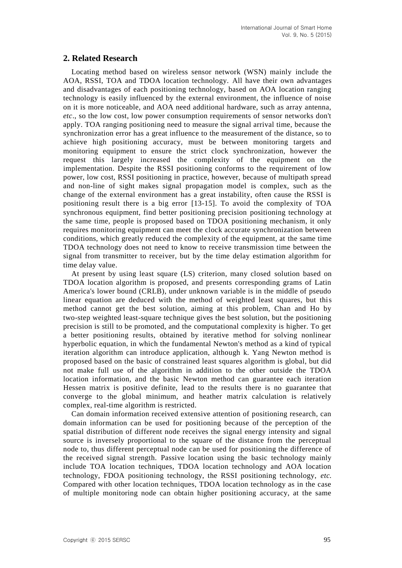## **2. Related Research**

Locating method based on wireless sensor network (WSN) mainly include the AOA, RSSI, TOA and TDOA location technology. All have their own advantages and disadvantages of each positioning technology, based on AOA location ranging technology is easily influenced by the external environment, the influence of noise on it is more noticeable, and AOA need additional hardware, such as array antenna, *etc*., so the low cost, low power consumption requirements of sensor networks don't apply. TOA ranging positioning need to measure the signal arrival time, because the synchronization error has a great influence to the measurement of the distance, so to achieve high positioning accuracy, must be between monitoring targets and monitoring equipment to ensure the strict clock synchronization, however the request this largely increased the complexity of the equipment on the implementation. Despite the RSSI positioning conforms to the requirement of low power, low cost, RSSI positioning in practice, however, because of multipath spread and non-line of sight makes signal propagation model is complex, such as the change of the external environment has a great instability, often cause the RSSI is positioning result there is a big error [13-15]. To avoid the complexity of TOA synchronous equipment, find better positioning precision positioning technology at the same time, people is proposed based on TDOA positioning mechanism, it only requires monitoring equipment can meet the clock accurate synchronization between conditions, which greatly reduced the complexity of the equipment, at the same time TDOA technology does not need to know to receive transmission time between the signal from transmitter to receiver, but by the time delay estimation algorithm for time delay value.

At present by using least square (LS) criterion, many closed solution based on TDOA location algorithm is proposed, and presents corresponding grams of Latin America's lower bound (CRLB), under unknown variable is in the middle of pseudo linear equation are deduced with the method of weighted least squares, but this method cannot get the best solution, aiming at this problem, Chan and Ho by two-step weighted least-square technique gives the best solution, but the positioning precision is still to be promoted, and the computational complexity is higher. To get a better positioning results, obtained by iterative method for solving nonlinear hyperbolic equation, in which the fundamental Newton's method as a kind of typical iteration algorithm can introduce application, although k. Yang Newton method is proposed based on the basic of constrained least squares algorithm is global, but did not make full use of the algorithm in addition to the other outside the TDOA location information, and the basic Newton method can guarantee each iteration Hessen matrix is positive definite, lead to the results there is no guarantee that converge to the global minimum, and heather matrix calculation is relatively complex, real-time algorithm is restricted.

Can domain information received extensive attention of positioning research, can domain information can be used for positioning because of the perception of the spatial distribution of different node receives the signal energy intensity and signal source is inversely proportional to the square of the distance from the perceptual node to, thus different perceptual node can be used for positioning the difference of the received signal strength. Passive location using the basic technology mainly include TOA location techniques, TDOA location technology and AOA location technology, FDOA positioning technology, the RSSI positioning technology, *etc.* Compared with other location techniques, TDOA location technology as in the case of multiple monitoring node can obtain higher positioning accuracy, at the same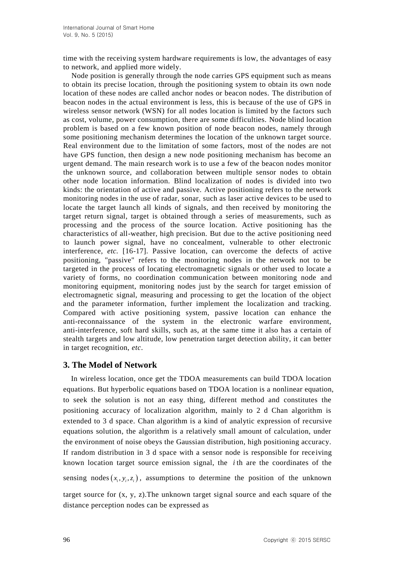time with the receiving system hardware requirements is low, the advantages of easy to network, and applied more widely.

Node position is generally through the node carries GPS equipment such as means to obtain its precise location, through the positioning system to obtain its own node location of these nodes are called anchor nodes or beacon nodes. The distribution of beacon nodes in the actual environment is less, this is because of the use of GPS in wireless sensor network (WSN) for all nodes location is limited by the factors such as cost, volume, power consumption, there are some difficulties. Node blind location problem is based on a few known position of node beacon nodes, namely through some positioning mechanism determines the location of the unknown target source. Real environment due to the limitation of some factors, most of the nodes are not have GPS function, then design a new node positioning mechanism has become an urgent demand. The main research work is to use a few of the beacon nodes monitor the unknown source, and collaboration between multiple sensor nodes to obtain other node location information. Blind localization of nodes is divided into two kinds: the orientation of active and passive. Active positioning refers to the network monitoring nodes in the use of radar, sonar, such as laser active devices to be used to locate the target launch all kinds of signals, and then received by monitoring the target return signal, target is obtained through a series of measurements, such as processing and the process of the source location. Active positioning has the characteristics of all-weather, high precision. But due to the active positioning need to launch power signal, have no concealment, vulnerable to other electronic interference, *etc.* [16-17]. Passive location, can overcome the defects of active positioning, "passive" refers to the monitoring nodes in the network not to be targeted in the process of locating electromagnetic signals or other used to locate a variety of forms, no coordination communication between monitoring node and monitoring equipment, monitoring nodes just by the search for target emission of electromagnetic signal, measuring and processing to get the location of the object and the parameter information, further implement the localization and tracking. Compared with active positioning system, passive location can enhance the anti-reconnaissance of the system in the electronic warfare environment, anti-interference, soft hard skills, such as, at the same time it also has a certain of stealth targets and low altitude, low penetration target detection ability, it can better in target recognition, *etc*.

## **3. The Model of Network**

In wireless location, once get the TDOA measurements can build TDOA location equations. But hyperbolic equations based on TDOA location is a nonlinear equation, to seek the solution is not an easy thing, different method and constitutes the positioning accuracy of localization algorithm, mainly to 2 d Chan algorithm is extended to 3 d space. Chan algorithm is a kind of analytic expression of recursive equations solution, the algorithm is a relatively small amount of calculation, under the environment of noise obeys the Gaussian distribution, high positioning accuracy. If random distribution in 3 d space with a sensor node is responsible for receiving known location target source emission signal, the *i* th are the coordinates of the

sensing nodes  $(x_i, y_i, z_i)$ , assumptions to determine the position of the unknown

target source for  $(x, y, z)$ . The unknown target signal source and each square of the distance perception nodes can be expressed as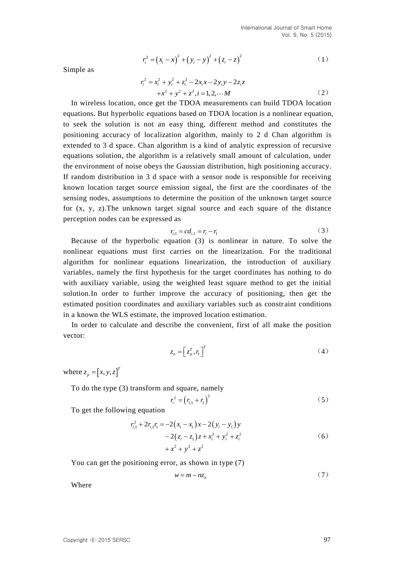$$
r_i^2 = (x_i - x)^2 + (y_i - y)^2 + (z_i - z)^2
$$
 (1)

Simple as

$$
r_i^2 = x_i^2 + y_i^2 + z_i^2 - 2x_i x - 2y_i y - 2z_i z
$$
  
+
$$
x^2 + y^2 + z^2, i = 1, 2, \cdots M
$$
 (2)

Simple as<br>  $r'_1 = (x_i - x)^2 + (y_i - y)^2 + (z_i - z)^2$ <br>
Using the as<br>  $r'_2 = x^2 + y^2 + z^2 - 2x_i - 2x_i - y^2$ <br>
In wireless location, once get the TDOA measurements can build TDOA location<br>
using the subtropholic equations based on TDOA hocatio In wireless location, once get the TDOA measurements can build TDOA location equations. But hyperbolic equations based on TDOA location is a nonlinear equation, to seek the solution is not an easy thing, different method and constitutes the positioning accuracy of localization algorithm, mainly to 2 d Chan algorithm is extended to 3 d space. Chan algorithm is a kind of analytic expression of recursive equations solution, the algorithm is a relatively small amount of calculation, under the environment of noise obeys the Gaussian distribution, high positioning accuracy. If random distribution in 3 d space with a sensor node is responsible for receiving known location target source emission signal, the first are the coordinates of the sensing nodes, assumptions to determine the position of the unknown target source for (x, y, z).The unknown target signal source and each square of the distance perception nodes can be expressed as

$$
r_{i,1} = cd_{i,1} = r_i - r_1 \tag{3}
$$

Because of the hyperbolic equation (3) is nonlinear in nature. To solve the nonlinear equations must first carries on the linearization. For the traditional algorithm for nonlinear equations linearization, the introduction of auxiliary variables, namely the first hypothesis for the target coordinates has nothing to do with auxiliary variable, using the weighted least square method to get the initial solution.In order to further improve the accuracy of positioning, then get the estimated position coordinates and auxiliary variables such as constraint conditions in a known the WLS estimate, the improved location estimation.

 In order to calculate and describe the convenient, first of all make the position vector:

$$
z_a = \left[ z_p^T, r_1 \right]^T \tag{4}
$$

where  $z_n = [x, y, z]^T$  $z_p = [x, y, z]$ 

To do the type (3) transform and square, namely

$$
r_i^2 = (r_{i,1} + r_1)^2
$$
 (5)

To get the following equation

$$
r_{i,1}^{2} + 2r_{i,1}r_{1} = -2(x_{i} - x_{1})x - 2(y_{i} - y_{1})y
$$
  
- 2(z\_{i} - z\_{1})z + x\_{i}^{2} + y\_{i}^{2} + z\_{i}^{2}  
+ x^{2} + y^{2} + z^{2} (6)

You can get the positioning error, as shown in type  $(7)$ 

$$
w = m - nz_a \tag{7}
$$

Where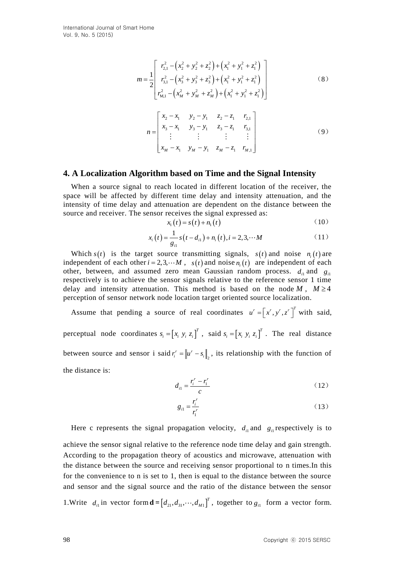$$
m = \frac{1}{2} \begin{bmatrix} r_{2,1}^{2} - (x_{2}^{2} + y_{2}^{2} + z_{2}^{2}) + (x_{1}^{2} + y_{1}^{2} + z_{1}^{2}) \\ r_{3,1}^{2} - (x_{3}^{2} + y_{3}^{2} + z_{3}^{2}) + (x_{1}^{2} + y_{1}^{2} + z_{1}^{2}) \\ r_{M,1}^{2} - (x_{M}^{2} + y_{M}^{2} + z_{M}^{2}) + (x_{1}^{2} + y_{1}^{2} + z_{1}^{2}) \end{bmatrix}
$$
(8)  

$$
n = \begin{bmatrix} x_{2} - x_{1} & y_{2} - y_{1} & z_{2} - z_{1} & r_{2,1} \\ x_{3} - x_{1} & y_{3} - y_{1} & z_{3} - z_{1} & r_{3,1} \\ \vdots & \vdots & \vdots & \vdots \\ x_{M} - x_{1} & y_{M} - y_{1} & z_{M} - z_{1} & r_{M,1} \end{bmatrix}
$$
(9)

## **4. A Localization Algorithm based on Time and the Signal Intensity**

When a source signal to reach located in different location of the receiver, the space will be affected by different time delay and intensity attenuation, and the intensity of time delay and attenuation are dependent on the distance between the source and receiver. The sensor receives the signal expressed as:

$$
x_1(t) = s(t) + n_1(t)
$$
 (10)

$$
x_i(t) = \frac{1}{g_{i1}} s(t - d_{i1}) + n_i(t), i = 2, 3, \cdots M
$$
 (11)

Which  $s(t)$  is the target source transmitting signals,  $s(t)$  and noise  $n_i(t)$  are independent of each other  $i = 2, 3, \cdots M$ ,  $s(t)$  and noise  $n_i(t)$  are independent of each other, between, and assumed zero mean Gaussian random process.  $d_{i1}$  and  $g_{i2}$ respectively is to achieve the sensor signals relative to the reference sensor 1 time delay and intensity attenuation. This method is based on the node  $M$ ,  $M \ge 4$ perception of sensor network node location target oriented source localization.

Assume that pending a source of real coordinates  $u' = [x', y', z']^T$  with said, perceptual node coordinates  $s_i = [x_i, y_i, z_i]^T$ , said  $s_i = [x_i, y_i, z_i]^T$ . The real distance between source and sensor i said  $r_i^r = ||u^r - s_i||_2$  $r_i^r = ||u^r - s_i||_2$ , its relationship with the function of the distance is:

$$
d_{i1} = \frac{r_i^r - r_1^r}{c} \tag{12}
$$

$$
g_{i1} = \frac{r_i^r}{r_i^r} \tag{13}
$$

Here c represents the signal propagation velocity,  $d_{i}$  and  $g_{i}$  respectively is to

achieve the sensor signal relative to the reference node time delay and gain strength. According to the propagation theory of acoustics and microwave, attenuation with the distance between the source and receiving sensor proportional to n times.In this for the convenience to n is set to 1, then is equal to the distance between the source and sensor and the signal source and the ratio of the distance between the sensor

1. Write  $d_{i1}$  in vector form  $\mathbf{d} = [d_{21}, d_{31}, \cdots, d_{M1}]^{T}$ , together to  $g_{i1}$  form a vector form.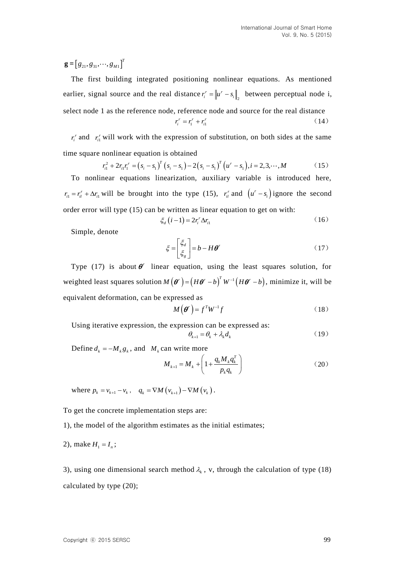*T*  $\mathbf{g} = [g_{21}, g_{31}, \cdots, g_{M}]$ 

 $g = [g_{11}, g_{21}, \cdots, g_{nn}]$ <br>
The first huidding integraned positioning nonlinear equations. As montions<br>
realiting integraned positioning nonlinear equations, As montions<br>
reality, signal source and the real distance  $r'_1 = [a'$ The first building integrated positioning nonlinear equations. As mentioned earlier, signal source and the real distance  $r_i^r = ||u^r - s_i||_2$  $r_i^r = ||u^r - s_i||_2$  between perceptual node i, select node 1 as the reference node, reference node and source for the real distance

$$
r_i^r = r_1^r + r_{i1}^r \tag{14}
$$

 $r_i^r$  and  $r_{i1}^r$  will work with the expression of substitution, on both sides at the same

time square nonlinear equation is obtained  
\n
$$
r_{i1}^2 + 2r_{i1}r_i^r = (s_i - s_1)^T (s_i - s_1) - 2(s_i - s_1)^T (u^r - s_1), i = 2, 3, \cdots, M
$$
\n(15)

To nonlinear equations linearization, auxiliary variable is introduced here,  $r_{i} = r'_{i} + \Delta r_{i}$  will be brought into the type (15),  $r'_{i}$  and  $(u' - s_{i})$  ignore the second order error will type (15) can be written as linear equation to get on with:

$$
\xi_d\left(i-1\right) = 2r_i^r \Delta r_{i1} \tag{16}
$$

Simple, denote

$$
\xi = \begin{bmatrix} \xi_d \\ \xi_s \end{bmatrix} = b - H \theta^r \tag{17}
$$

Type (17) is about  $\theta^r$  linear equation, using the least squares solution, for weighted least squares solution  $M(\theta^r) = (H\theta^r - b)^T W^{-1}(H\theta^r - b)$ , minimize it, will be equivalent deformation, can be expressed as

$$
M(\boldsymbol{\theta}^r) = f^T W^{-1} f \tag{18}
$$

Using iterative expression, the expression can be expressed as:

$$
\theta_{k+1} = \theta_k + \lambda_k d_k \tag{19}
$$

Define  $d_k = -M_k g_k$ , and  $M_k$  can write more

$$
M_{k+1} = M_k + \left(1 + \frac{q_k M_k q_k^T}{p_k q_k}\right) \tag{20}
$$

where  $p_k = v_{k+1} - v_k$ ,  $q_k = \nabla M(v_{k+1}) - \nabla M(v_k)$ .

To get the concrete implementation steps are:

1), the model of the algorithm estimates as the initial estimates;

2), make  $H_1 = I_n$ ;

3), using one dimensional search method  $\lambda_k$ , v, through the calculation of type (18) calculated by type (20);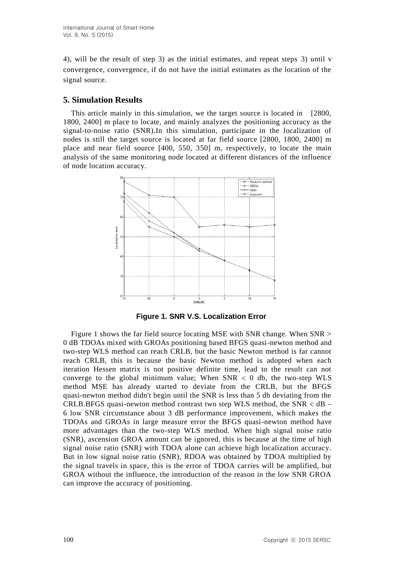4), will be the result of step 3) as the initial estimates, and repeat steps 3) until v convergence, convergence, if do not have the initial estimates as the location of the signal source.

## **5. Simulation Results**

This article mainly in this simulation, we the target source is located in [2800, 1800, 2400] m place to locate, and mainly analyzes the positioning accuracy as the signal-to-noise ratio (SNR).In this simulation, participate in the localization of nodes is still the target source is located at far field source [2800, 1800, 2400] m place and near field source [400, 550, 350] m, respectively, to locate the main analysis of the same monitoring node located at different distances of the influence of node location accuracy.



**Figure 1. SNR V.S. Localization Error**

Figure 1 shows the far field source locating MSE with SNR change. When SNR > 0 dB TDOAs mixed with GROAs positioning based BFGS quasi-newton method and two-step WLS method can reach CRLB, but the basic Newton method is far cannot reach CRLB, this is because the basic Newton method is adopted when each iteration Hessen matrix is not positive definite time, lead to the result can not converge to the global minimum value; When  $SNR < 0$  db, the two-step WLS method MSE has already started to deviate from the CRLB, but the BFGS quasi-newton method didn't begin until the SNR is less than 5 db deviating from the CRLB.BFGS quasi-newton method contrast two step WLS method, the  $SNR < dB$  – 6 low SNR circumstance about 3 dB performance improvement, which makes the TDOAs and GROAs in large measure error the BFGS quasi-newton method have more advantages than the two-step WLS method. When high signal noise ratio (SNR), ascension GROA amount can be ignored, this is because at the time of high signal noise ratio (SNR) with TDOA alone can achieve high localization accuracy. But in low signal noise ratio (SNR), RDOA was obtained by TDOA multiplied by the signal travels in space, this is the error of TDOA carries will be amplified, but GROA without the influence, the introduction of the reason in the low SNR GROA can improve the accuracy of positioning.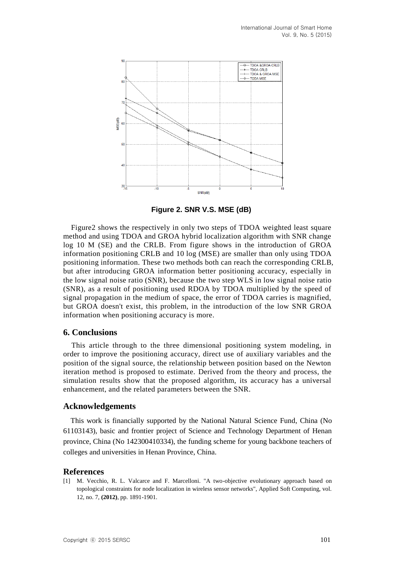

**Figure 2. SNR V.S. MSE (dB)**

Figure2 shows the respectively in only two steps of TDOA weighted least square method and using TDOA and GROA hybrid localization algorithm with SNR change log 10 M (SE) and the CRLB. From figure shows in the introduction of GROA information positioning CRLB and 10 log (MSE) are smaller than only using TDOA positioning information. These two methods both can reach the corresponding CRLB, but after introducing GROA information better positioning accuracy, especially in the low signal noise ratio (SNR), because the two step WLS in low signal noise ratio (SNR), as a result of positioning used RDOA by TDOA multiplied by the speed of signal propagation in the medium of space, the error of TDOA carries is magnified, but GROA doesn't exist, this problem, in the introduction of the low SNR GROA information when positioning accuracy is more.

### **6. Conclusions**

This article through to the three dimensional positioning system modeling, in order to improve the positioning accuracy, direct use of auxiliary variables and the position of the signal source, the relationship between position based on the Newton iteration method is proposed to estimate. Derived from the theory and process, the simulation results show that the proposed algorithm, its accuracy has a universal enhancement, and the related parameters between the SNR.

### **Acknowledgements**

This work is financially supported by the National Natural Science Fund, China (No 61103143), basic and frontier project of Science and Technology Department of Henan province, China (No 142300410334), the funding scheme for young backbone teachers of colleges and universities in Henan Province, China.

### **References**

[1] M. Vecchio, R. L. Valcarce and F. Marcelloni. "A two-objective evolutionary approach based on topological constraints for node localization in wireless sensor networks", Applied Soft Computing, vol. 12, no. 7, **(2012)**, pp. 1891-1901.